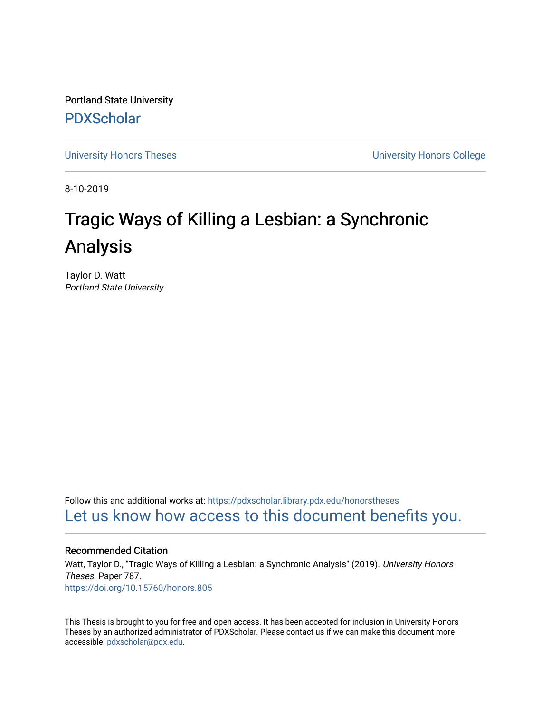Portland State University [PDXScholar](https://pdxscholar.library.pdx.edu/)

[University Honors Theses](https://pdxscholar.library.pdx.edu/honorstheses) [University Honors College](https://pdxscholar.library.pdx.edu/honors) 

8-10-2019

# Tragic Ways of Killing a Lesbian: a Synchronic Analysis

Taylor D. Watt Portland State University

Follow this and additional works at: [https://pdxscholar.library.pdx.edu/honorstheses](https://pdxscholar.library.pdx.edu/honorstheses?utm_source=pdxscholar.library.pdx.edu%2Fhonorstheses%2F787&utm_medium=PDF&utm_campaign=PDFCoverPages)  [Let us know how access to this document benefits you.](http://library.pdx.edu/services/pdxscholar-services/pdxscholar-feedback/) 

## Recommended Citation

Watt, Taylor D., "Tragic Ways of Killing a Lesbian: a Synchronic Analysis" (2019). University Honors Theses. Paper 787. <https://doi.org/10.15760/honors.805>

This Thesis is brought to you for free and open access. It has been accepted for inclusion in University Honors Theses by an authorized administrator of PDXScholar. Please contact us if we can make this document more accessible: [pdxscholar@pdx.edu.](mailto:pdxscholar@pdx.edu)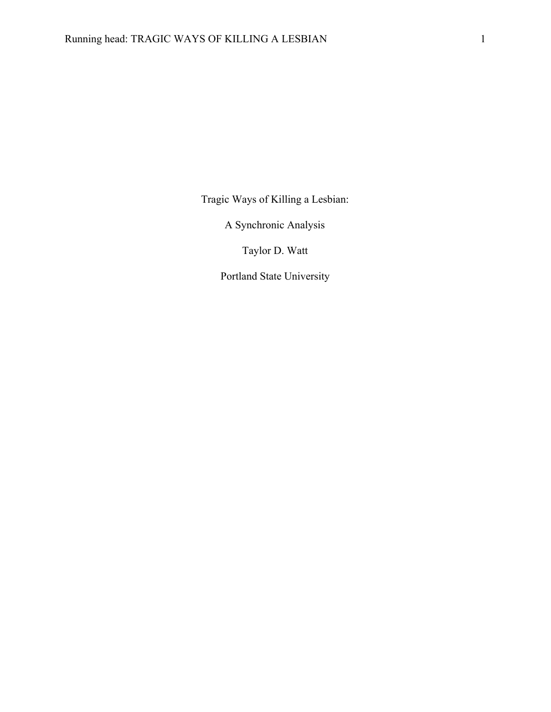Tragic Ways of Killing a Lesbian:

A Synchronic Analysis

Taylor D. Watt

Portland State University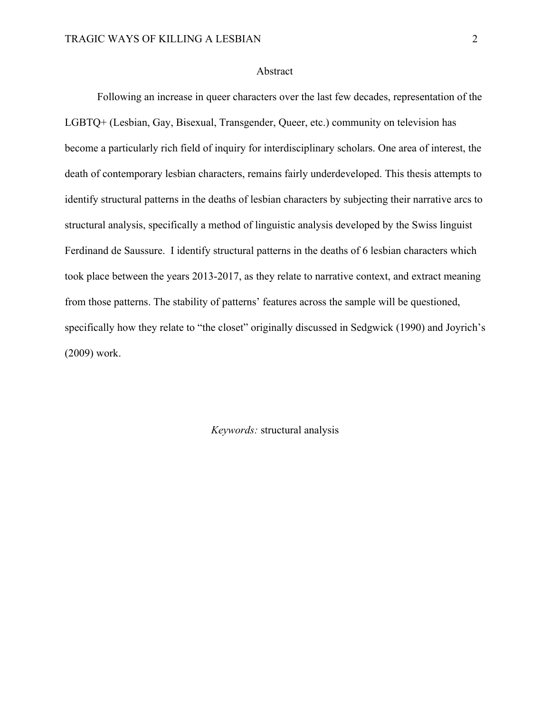#### Abstract

Following an increase in queer characters over the last few decades, representation of the LGBTQ+ (Lesbian, Gay, Bisexual, Transgender, Queer, etc.) community on television has become a particularly rich field of inquiry for interdisciplinary scholars. One area of interest, the death of contemporary lesbian characters, remains fairly underdeveloped. This thesis attempts to identify structural patterns in the deaths of lesbian characters by subjecting their narrative arcs to structural analysis, specifically a method of linguistic analysis developed by the Swiss linguist Ferdinand de Saussure. I identify structural patterns in the deaths of 6 lesbian characters which took place between the years 2013-2017, as they relate to narrative context, and extract meaning from those patterns. The stability of patterns' features across the sample will be questioned, specifically how they relate to "the closet" originally discussed in Sedgwick (1990) and Joyrich's (2009) work.

*Keywords:* structural analysis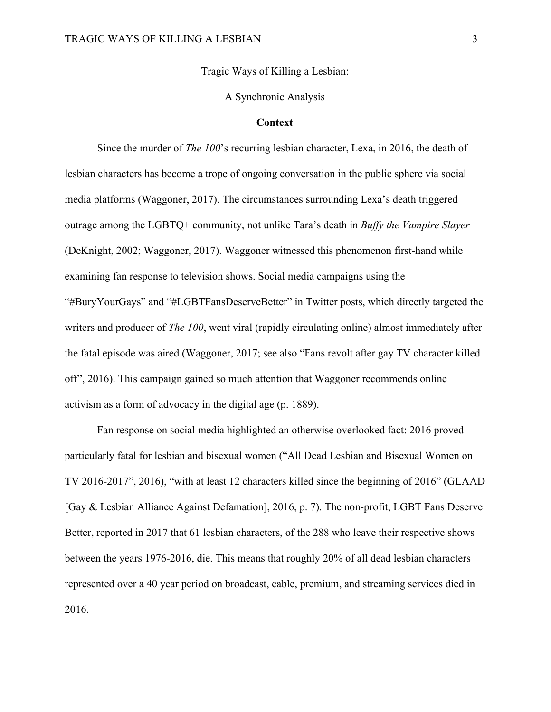Tragic Ways of Killing a Lesbian:

#### A Synchronic Analysis

#### **Context**

Since the murder of *The 100*'s recurring lesbian character, Lexa, in 2016, the death of lesbian characters has become a trope of ongoing conversation in the public sphere via social media platforms (Waggoner, 2017). The circumstances surrounding Lexa's death triggered outrage among the LGBTQ+ community, not unlike Tara's death in *Buffy the Vampire Slayer* (DeKnight, 2002; Waggoner, 2017). Waggoner witnessed this phenomenon first-hand while examining fan response to television shows. Social media campaigns using the "#BuryYourGays" and "#LGBTFansDeserveBetter" in Twitter posts, which directly targeted the writers and producer of *The 100*, went viral (rapidly circulating online) almost immediately after the fatal episode was aired (Waggoner, 2017; see also "Fans revolt after gay TV character killed off", 2016). This campaign gained so much attention that Waggoner recommends online activism as a form of advocacy in the digital age (p. 1889).

Fan response on social media highlighted an otherwise overlooked fact: 2016 proved particularly fatal for lesbian and bisexual women ("All Dead Lesbian and Bisexual Women on TV 2016-2017", 2016), "with at least 12 characters killed since the beginning of 2016" (GLAAD [Gay & Lesbian Alliance Against Defamation], 2016, p. 7). The non-profit, LGBT Fans Deserve Better, reported in 2017 that 61 lesbian characters, of the 288 who leave their respective shows between the years 1976-2016, die. This means that roughly 20% of all dead lesbian characters represented over a 40 year period on broadcast, cable, premium, and streaming services died in 2016.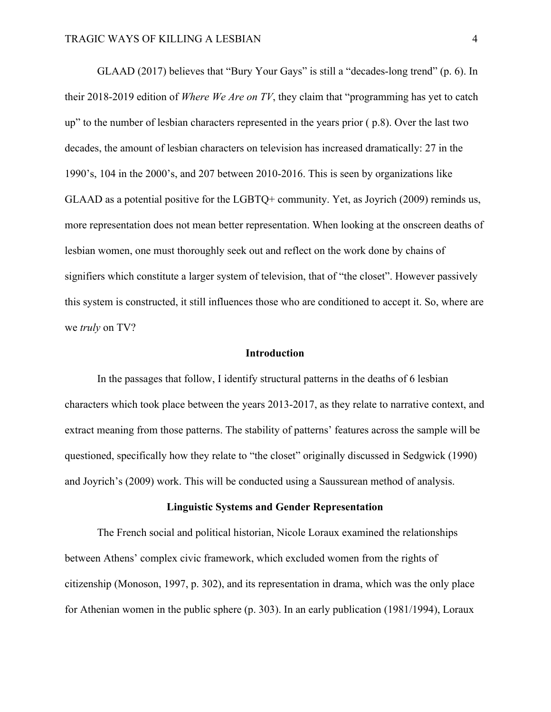GLAAD (2017) believes that "Bury Your Gays" is still a "decades-long trend" (p. 6). In their 2018-2019 edition of *Where We Are on TV*, they claim that "programming has yet to catch up" to the number of lesbian characters represented in the years prior ( p.8). Over the last two decades, the amount of lesbian characters on television has increased dramatically: 27 in the 1990's, 104 in the 2000's, and 207 between 2010-2016. This is seen by organizations like GLAAD as a potential positive for the LGBTQ+ community. Yet, as Joyrich (2009) reminds us, more representation does not mean better representation. When looking at the onscreen deaths of lesbian women, one must thoroughly seek out and reflect on the work done by chains of signifiers which constitute a larger system of television, that of "the closet". However passively this system is constructed, it still influences those who are conditioned to accept it. So, where are we *truly* on TV?

## **Introduction**

In the passages that follow, I identify structural patterns in the deaths of 6 lesbian characters which took place between the years 2013-2017, as they relate to narrative context, and extract meaning from those patterns. The stability of patterns' features across the sample will be questioned, specifically how they relate to "the closet" originally discussed in Sedgwick (1990) and Joyrich's (2009) work. This will be conducted using a Saussurean method of analysis.

#### **Linguistic Systems and Gender Representation**

The French social and political historian, Nicole Loraux examined the relationships between Athens' complex civic framework, which excluded women from the rights of citizenship (Monoson, 1997, p. 302), and its representation in drama, which was the only place for Athenian women in the public sphere (p. 303). In an early publication (1981/1994), Loraux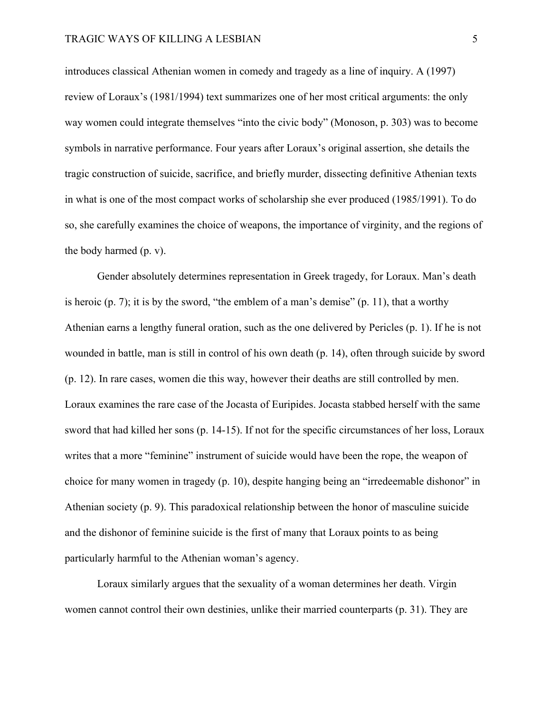introduces classical Athenian women in comedy and tragedy as a line of inquiry. A (1997) review of Loraux's (1981/1994) text summarizes one of her most critical arguments: the only way women could integrate themselves "into the civic body" (Monoson, p. 303) was to become symbols in narrative performance. Four years after Loraux's original assertion, she details the tragic construction of suicide, sacrifice, and briefly murder, dissecting definitive Athenian texts in what is one of the most compact works of scholarship she ever produced (1985/1991). To do so, she carefully examines the choice of weapons, the importance of virginity, and the regions of the body harmed (p. v).

Gender absolutely determines representation in Greek tragedy, for Loraux. Man's death is heroic  $(p, 7)$ ; it is by the sword, "the emblem of a man's demise"  $(p, 11)$ , that a worthy Athenian earns a lengthy funeral oration, such as the one delivered by Pericles (p. 1). If he is not wounded in battle, man is still in control of his own death (p. 14), often through suicide by sword (p. 12). In rare cases, women die this way, however their deaths are still controlled by men. Loraux examines the rare case of the Jocasta of Euripides. Jocasta stabbed herself with the same sword that had killed her sons (p. 14-15). If not for the specific circumstances of her loss, Loraux writes that a more "feminine" instrument of suicide would have been the rope, the weapon of choice for many women in tragedy (p. 10), despite hanging being an "irredeemable dishonor" in Athenian society (p. 9). This paradoxical relationship between the honor of masculine suicide and the dishonor of feminine suicide is the first of many that Loraux points to as being particularly harmful to the Athenian woman's agency.

Loraux similarly argues that the sexuality of a woman determines her death. Virgin women cannot control their own destinies, unlike their married counterparts (p. 31). They are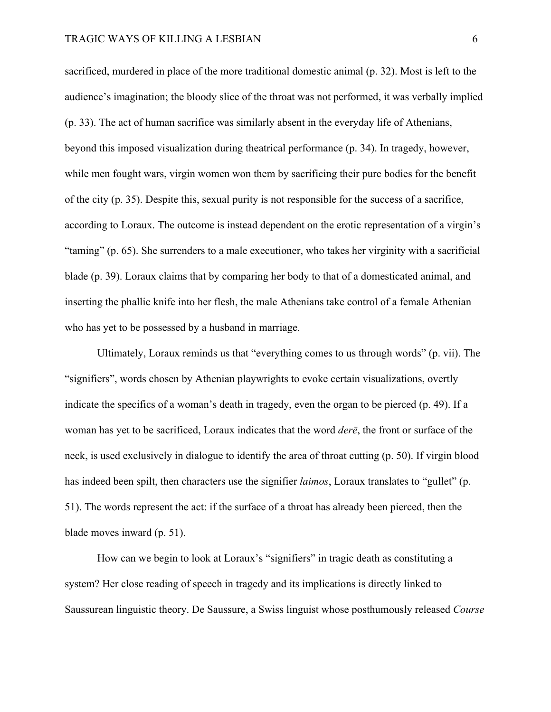#### TRAGIC WAYS OF KILLING A LESBIAN 6

sacrificed, murdered in place of the more traditional domestic animal (p. 32). Most is left to the audience's imagination; the bloody slice of the throat was not performed, it was verbally implied (p. 33). The act of human sacrifice was similarly absent in the everyday life of Athenians, beyond this imposed visualization during theatrical performance (p. 34). In tragedy, however, while men fought wars, virgin women won them by sacrificing their pure bodies for the benefit of the city (p. 35). Despite this, sexual purity is not responsible for the success of a sacrifice, according to Loraux. The outcome is instead dependent on the erotic representation of a virgin's "taming" (p. 65). She surrenders to a male executioner, who takes her virginity with a sacrificial blade (p. 39). Loraux claims that by comparing her body to that of a domesticated animal, and inserting the phallic knife into her flesh, the male Athenians take control of a female Athenian who has yet to be possessed by a husband in marriage.

Ultimately, Loraux reminds us that "everything comes to us through words" (p. vii). The "signifiers", words chosen by Athenian playwrights to evoke certain visualizations, overtly indicate the specifics of a woman's death in tragedy, even the organ to be pierced (p. 49). If a woman has yet to be sacrificed, Loraux indicates that the word *derē*, the front or surface of the neck, is used exclusively in dialogue to identify the area of throat cutting (p. 50). If virgin blood has indeed been spilt, then characters use the signifier *laimos*, Loraux translates to "gullet" (p. 51). The words represent the act: if the surface of a throat has already been pierced, then the blade moves inward (p. 51).

How can we begin to look at Loraux's "signifiers" in tragic death as constituting a system? Her close reading of speech in tragedy and its implications is directly linked to Saussurean linguistic theory. De Saussure, a Swiss linguist whose posthumously released *Course*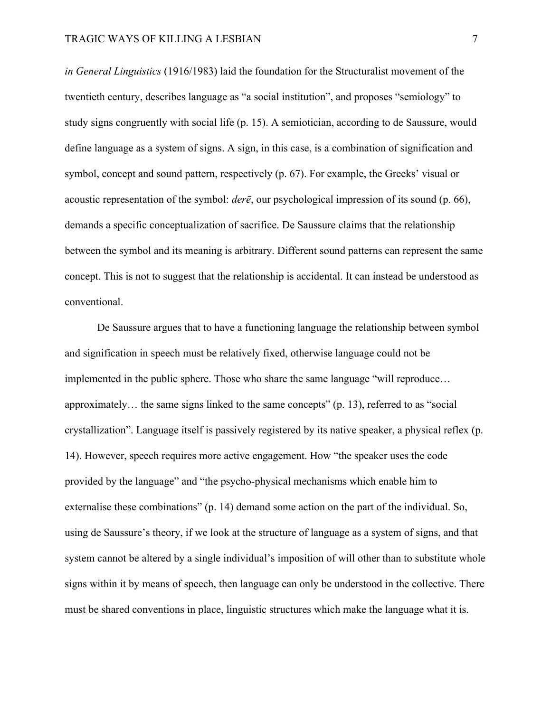*in General Linguistics* (1916/1983) laid the foundation for the Structuralist movement of the twentieth century, describes language as "a social institution", and proposes "semiology" to study signs congruently with social life (p. 15). A semiotician, according to de Saussure, would define language as a system of signs. A sign, in this case, is a combination of signification and symbol, concept and sound pattern, respectively (p. 67). For example, the Greeks' visual or acoustic representation of the symbol: *derē*, our psychological impression of its sound (p. 66), demands a specific conceptualization of sacrifice. De Saussure claims that the relationship between the symbol and its meaning is arbitrary. Different sound patterns can represent the same concept. This is not to suggest that the relationship is accidental. It can instead be understood as conventional.

De Saussure argues that to have a functioning language the relationship between symbol and signification in speech must be relatively fixed, otherwise language could not be implemented in the public sphere. Those who share the same language "will reproduce… approximately… the same signs linked to the same concepts" (p. 13), referred to as "social crystallization". Language itself is passively registered by its native speaker, a physical reflex (p. 14). However, speech requires more active engagement. How "the speaker uses the code provided by the language" and "the psycho-physical mechanisms which enable him to externalise these combinations" (p. 14) demand some action on the part of the individual. So, using de Saussure's theory, if we look at the structure of language as a system of signs, and that system cannot be altered by a single individual's imposition of will other than to substitute whole signs within it by means of speech, then language can only be understood in the collective. There must be shared conventions in place, linguistic structures which make the language what it is.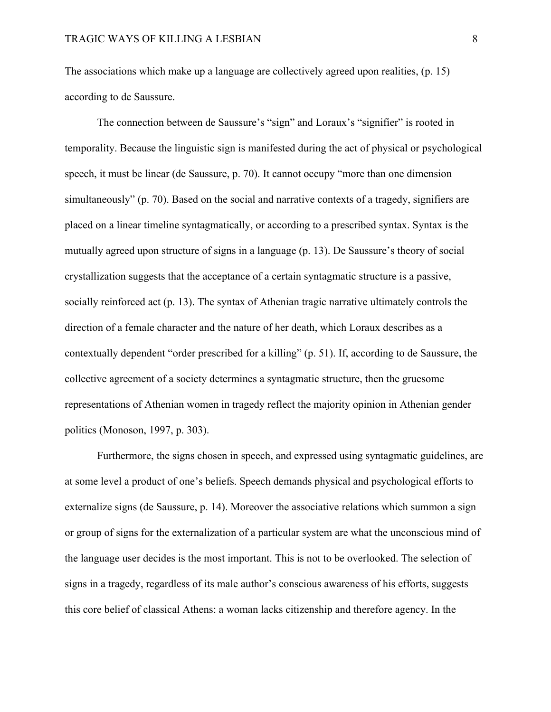The associations which make up a language are collectively agreed upon realities, (p. 15) according to de Saussure.

The connection between de Saussure's "sign" and Loraux's "signifier" is rooted in temporality. Because the linguistic sign is manifested during the act of physical or psychological speech, it must be linear (de Saussure, p. 70). It cannot occupy "more than one dimension simultaneously" (p. 70). Based on the social and narrative contexts of a tragedy, signifiers are placed on a linear timeline syntagmatically, or according to a prescribed syntax. Syntax is the mutually agreed upon structure of signs in a language (p. 13). De Saussure's theory of social crystallization suggests that the acceptance of a certain syntagmatic structure is a passive, socially reinforced act (p. 13). The syntax of Athenian tragic narrative ultimately controls the direction of a female character and the nature of her death, which Loraux describes as a contextually dependent "order prescribed for a killing" (p. 51). If, according to de Saussure, the collective agreement of a society determines a syntagmatic structure, then the gruesome representations of Athenian women in tragedy reflect the majority opinion in Athenian gender politics (Monoson, 1997, p. 303).

Furthermore, the signs chosen in speech, and expressed using syntagmatic guidelines, are at some level a product of one's beliefs. Speech demands physical and psychological efforts to externalize signs (de Saussure, p. 14). Moreover the associative relations which summon a sign or group of signs for the externalization of a particular system are what the unconscious mind of the language user decides is the most important. This is not to be overlooked. The selection of signs in a tragedy, regardless of its male author's conscious awareness of his efforts, suggests this core belief of classical Athens: a woman lacks citizenship and therefore agency. In the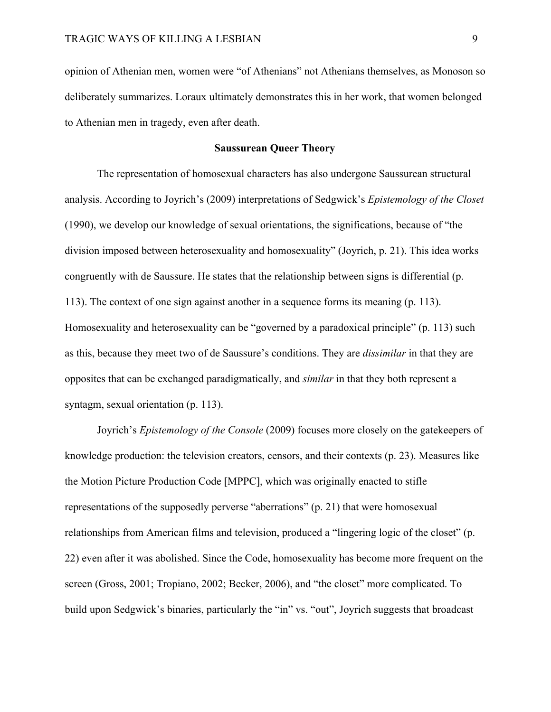opinion of Athenian men, women were "of Athenians" not Athenians themselves, as Monoson so deliberately summarizes. Loraux ultimately demonstrates this in her work, that women belonged to Athenian men in tragedy, even after death.

# **Saussurean Queer Theory**

The representation of homosexual characters has also undergone Saussurean structural analysis. According to Joyrich's (2009) interpretations of Sedgwick's *Epistemology of the Closet* (1990), we develop our knowledge of sexual orientations, the significations, because of "the division imposed between heterosexuality and homosexuality" (Joyrich, p. 21). This idea works congruently with de Saussure. He states that the relationship between signs is differential (p. 113). The context of one sign against another in a sequence forms its meaning (p. 113). Homosexuality and heterosexuality can be "governed by a paradoxical principle" (p. 113) such as this, because they meet two of de Saussure's conditions. They are *dissimilar* in that they are opposites that can be exchanged paradigmatically, and *similar* in that they both represent a syntagm, sexual orientation (p. 113).

Joyrich's *Epistemology of the Console* (2009) focuses more closely on the gatekeepers of knowledge production: the television creators, censors, and their contexts (p. 23). Measures like the Motion Picture Production Code [MPPC], which was originally enacted to stifle representations of the supposedly perverse "aberrations" (p. 21) that were homosexual relationships from American films and television, produced a "lingering logic of the closet" (p. 22) even after it was abolished. Since the Code, homosexuality has become more frequent on the screen (Gross, 2001; Tropiano, 2002; Becker, 2006), and "the closet" more complicated. To build upon Sedgwick's binaries, particularly the "in" vs. "out", Joyrich suggests that broadcast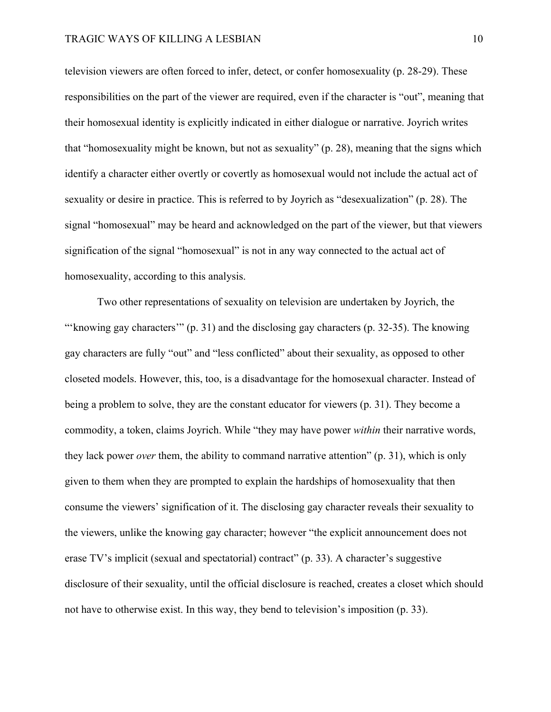television viewers are often forced to infer, detect, or confer homosexuality (p. 28-29). These responsibilities on the part of the viewer are required, even if the character is "out", meaning that their homosexual identity is explicitly indicated in either dialogue or narrative. Joyrich writes that "homosexuality might be known, but not as sexuality" (p. 28), meaning that the signs which identify a character either overtly or covertly as homosexual would not include the actual act of sexuality or desire in practice. This is referred to by Joyrich as "desexualization" (p. 28). The signal "homosexual" may be heard and acknowledged on the part of the viewer, but that viewers signification of the signal "homosexual" is not in any way connected to the actual act of homosexuality, according to this analysis.

Two other representations of sexuality on television are undertaken by Joyrich, the "'knowing gay characters'" (p. 31) and the disclosing gay characters (p. 32-35). The knowing gay characters are fully "out" and "less conflicted" about their sexuality, as opposed to other closeted models. However, this, too, is a disadvantage for the homosexual character. Instead of being a problem to solve, they are the constant educator for viewers (p. 31). They become a commodity, a token, claims Joyrich. While "they may have power *within* their narrative words, they lack power *over* them, the ability to command narrative attention" (p. 31), which is only given to them when they are prompted to explain the hardships of homosexuality that then consume the viewers' signification of it. The disclosing gay character reveals their sexuality to the viewers, unlike the knowing gay character; however "the explicit announcement does not erase TV's implicit (sexual and spectatorial) contract" (p. 33). A character's suggestive disclosure of their sexuality, until the official disclosure is reached, creates a closet which should not have to otherwise exist. In this way, they bend to television's imposition (p. 33).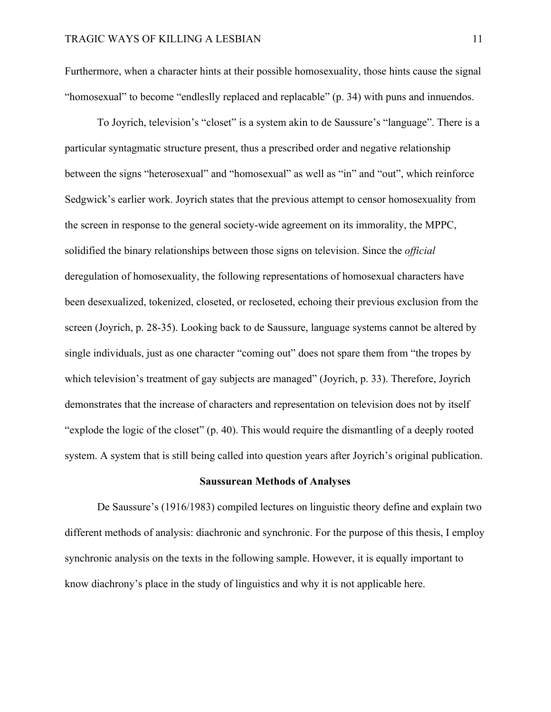Furthermore, when a character hints at their possible homosexuality, those hints cause the signal "homosexual" to become "endleslly replaced and replacable" (p. 34) with puns and innuendos.

To Joyrich, television's "closet" is a system akin to de Saussure's "language". There is a particular syntagmatic structure present, thus a prescribed order and negative relationship between the signs "heterosexual" and "homosexual" as well as "in" and "out", which reinforce Sedgwick's earlier work. Joyrich states that the previous attempt to censor homosexuality from the screen in response to the general society-wide agreement on its immorality, the MPPC, solidified the binary relationships between those signs on television. Since the *official* deregulation of homosexuality, the following representations of homosexual characters have been desexualized, tokenized, closeted, or recloseted, echoing their previous exclusion from the screen (Joyrich, p. 28-35). Looking back to de Saussure, language systems cannot be altered by single individuals, just as one character "coming out" does not spare them from "the tropes by which television's treatment of gay subjects are managed" (Joyrich, p. 33). Therefore, Joyrich demonstrates that the increase of characters and representation on television does not by itself "explode the logic of the closet" (p. 40). This would require the dismantling of a deeply rooted system. A system that is still being called into question years after Joyrich's original publication.

## **Saussurean Methods of Analyses**

De Saussure's (1916/1983) compiled lectures on linguistic theory define and explain two different methods of analysis: diachronic and synchronic. For the purpose of this thesis, I employ synchronic analysis on the texts in the following sample. However, it is equally important to know diachrony's place in the study of linguistics and why it is not applicable here.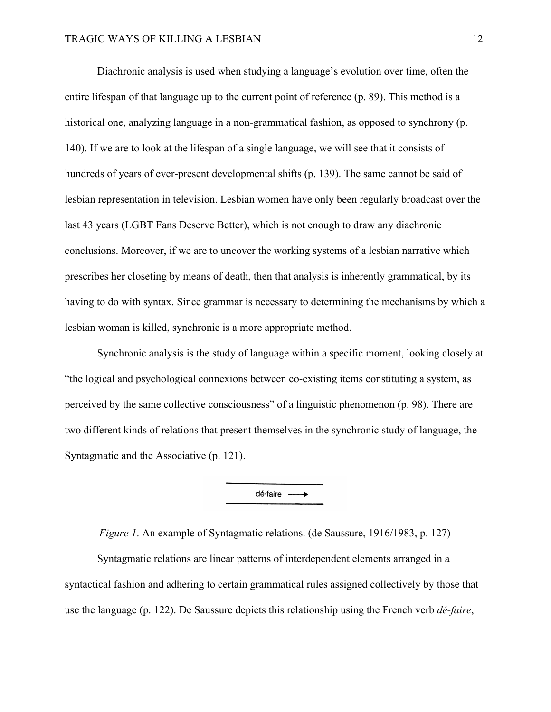Diachronic analysis is used when studying a language's evolution over time, often the entire lifespan of that language up to the current point of reference (p. 89). This method is a historical one, analyzing language in a non-grammatical fashion, as opposed to synchrony (p. 140). If we are to look at the lifespan of a single language, we will see that it consists of hundreds of years of ever-present developmental shifts (p. 139). The same cannot be said of lesbian representation in television. Lesbian women have only been regularly broadcast over the last 43 years (LGBT Fans Deserve Better), which is not enough to draw any diachronic conclusions. Moreover, if we are to uncover the working systems of a lesbian narrative which prescribes her closeting by means of death, then that analysis is inherently grammatical, by its having to do with syntax. Since grammar is necessary to determining the mechanisms by which a lesbian woman is killed, synchronic is a more appropriate method.

Synchronic analysis is the study of language within a specific moment, looking closely at "the logical and psychological connexions between co-existing items constituting a system, as perceived by the same collective consciousness" of a linguistic phenomenon (p. 98). There are two different kinds of relations that present themselves in the synchronic study of language, the Syntagmatic and the Associative (p. 121).

dé-faire -

*Figure 1*. An example of Syntagmatic relations. (de Saussure, 1916/1983, p. 127)

Syntagmatic relations are linear patterns of interdependent elements arranged in a syntactical fashion and adhering to certain grammatical rules assigned collectively by those that use the language (p. 122). De Saussure depicts this relationship using the French verb *dé-faire*,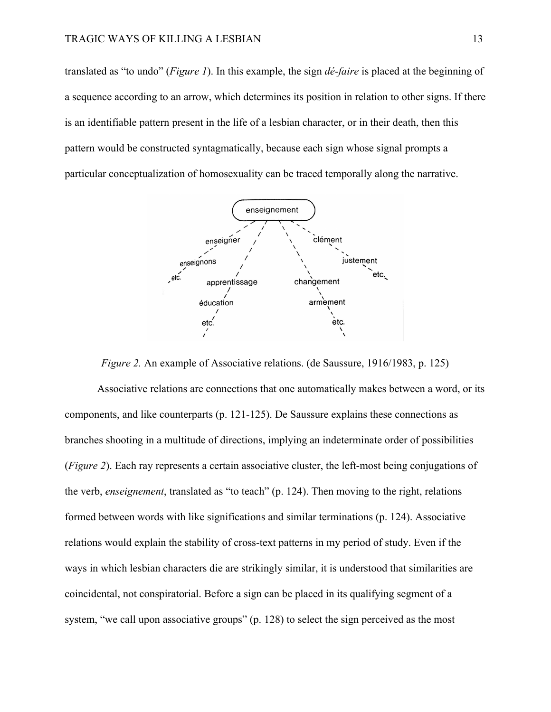translated as "to undo" (*Figure 1*). In this example, the sign *dé-faire* is placed at the beginning of a sequence according to an arrow, which determines its position in relation to other signs. If there is an identifiable pattern present in the life of a lesbian character, or in their death, then this pattern would be constructed syntagmatically, because each sign whose signal prompts a particular conceptualization of homosexuality can be traced temporally along the narrative.



*Figure 2.* An example of Associative relations. (de Saussure, 1916/1983, p. 125)

Associative relations are connections that one automatically makes between a word, or its components, and like counterparts (p. 121-125). De Saussure explains these connections as branches shooting in a multitude of directions, implying an indeterminate order of possibilities (*Figure 2*). Each ray represents a certain associative cluster, the left-most being conjugations of the verb, *enseignement*, translated as "to teach" (p. 124). Then moving to the right, relations formed between words with like significations and similar terminations (p. 124). Associative relations would explain the stability of cross-text patterns in my period of study. Even if the ways in which lesbian characters die are strikingly similar, it is understood that similarities are coincidental, not conspiratorial. Before a sign can be placed in its qualifying segment of a system, "we call upon associative groups" (p. 128) to select the sign perceived as the most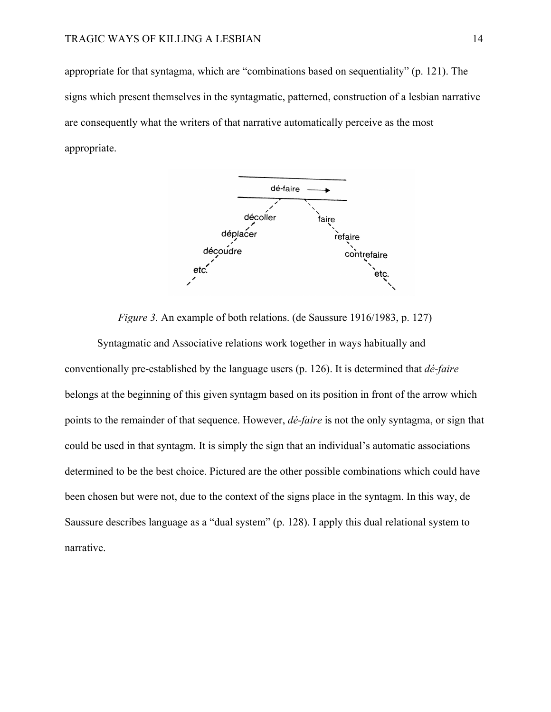appropriate for that syntagma, which are "combinations based on sequentiality" (p. 121). The signs which present themselves in the syntagmatic, patterned, construction of a lesbian narrative are consequently what the writers of that narrative automatically perceive as the most appropriate.



*Figure 3.* An example of both relations. (de Saussure 1916/1983, p. 127)

Syntagmatic and Associative relations work together in ways habitually and conventionally pre-established by the language users (p. 126). It is determined that *dé-faire* belongs at the beginning of this given syntagm based on its position in front of the arrow which points to the remainder of that sequence. However, *dé-faire* is not the only syntagma, or sign that could be used in that syntagm. It is simply the sign that an individual's automatic associations determined to be the best choice. Pictured are the other possible combinations which could have been chosen but were not, due to the context of the signs place in the syntagm. In this way, de Saussure describes language as a "dual system" (p. 128). I apply this dual relational system to narrative.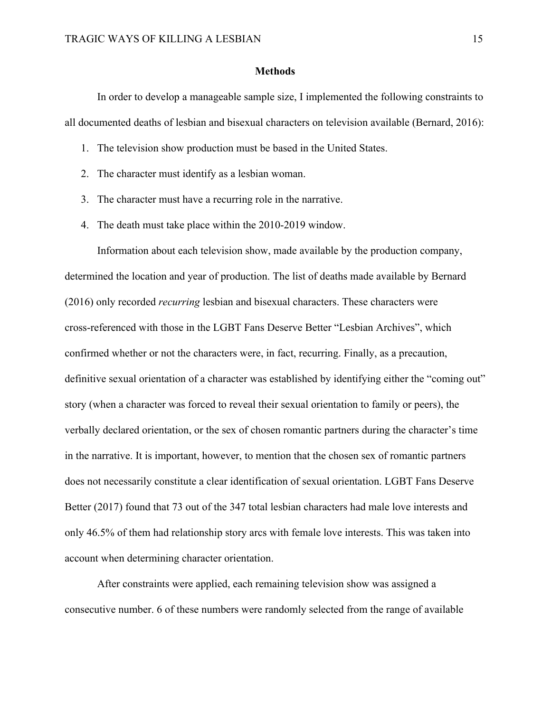#### **Methods**

In order to develop a manageable sample size, I implemented the following constraints to all documented deaths of lesbian and bisexual characters on television available (Bernard, 2016):

- 1. The television show production must be based in the United States.
- 2. The character must identify as a lesbian woman.
- 3. The character must have a recurring role in the narrative.
- 4. The death must take place within the 2010-2019 window.

Information about each television show, made available by the production company, determined the location and year of production. The list of deaths made available by Bernard (2016) only recorded *recurring* lesbian and bisexual characters. These characters were cross-referenced with those in the LGBT Fans Deserve Better "Lesbian Archives", which confirmed whether or not the characters were, in fact, recurring. Finally, as a precaution, definitive sexual orientation of a character was established by identifying either the "coming out" story (when a character was forced to reveal their sexual orientation to family or peers), the verbally declared orientation, or the sex of chosen romantic partners during the character's time in the narrative. It is important, however, to mention that the chosen sex of romantic partners does not necessarily constitute a clear identification of sexual orientation. LGBT Fans Deserve Better (2017) found that 73 out of the 347 total lesbian characters had male love interests and only 46.5% of them had relationship story arcs with female love interests. This was taken into account when determining character orientation.

After constraints were applied, each remaining television show was assigned a consecutive number. 6 of these numbers were randomly selected from the range of available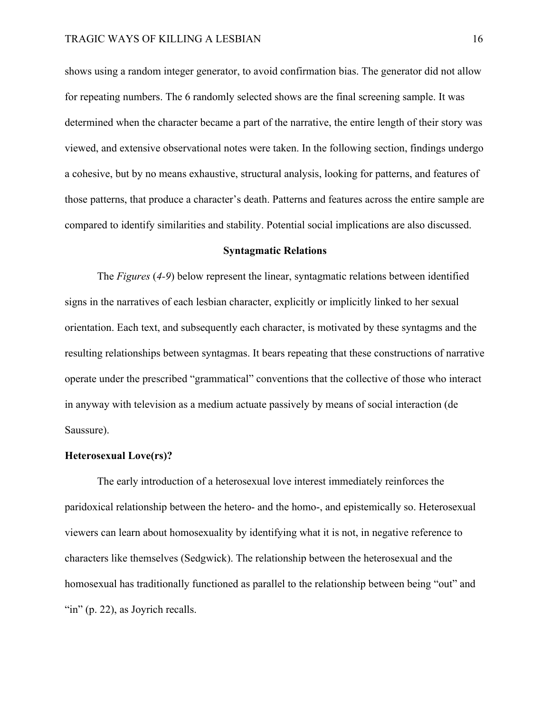shows using a random integer generator, to avoid confirmation bias. The generator did not allow for repeating numbers. The 6 randomly selected shows are the final screening sample. It was determined when the character became a part of the narrative, the entire length of their story was viewed, and extensive observational notes were taken. In the following section, findings undergo a cohesive, but by no means exhaustive, structural analysis, looking for patterns, and features of those patterns, that produce a character's death. Patterns and features across the entire sample are compared to identify similarities and stability. Potential social implications are also discussed.

#### **Syntagmatic Relations**

The *Figures* (*4-9*) below represent the linear, syntagmatic relations between identified signs in the narratives of each lesbian character, explicitly or implicitly linked to her sexual orientation. Each text, and subsequently each character, is motivated by these syntagms and the resulting relationships between syntagmas. It bears repeating that these constructions of narrative operate under the prescribed "grammatical" conventions that the collective of those who interact in anyway with television as a medium actuate passively by means of social interaction (de Saussure).

# **Heterosexual Love(rs)?**

The early introduction of a heterosexual love interest immediately reinforces the paridoxical relationship between the hetero- and the homo-, and epistemically so. Heterosexual viewers can learn about homosexuality by identifying what it is not, in negative reference to characters like themselves (Sedgwick). The relationship between the heterosexual and the homosexual has traditionally functioned as parallel to the relationship between being "out" and "in" (p. 22), as Joyrich recalls.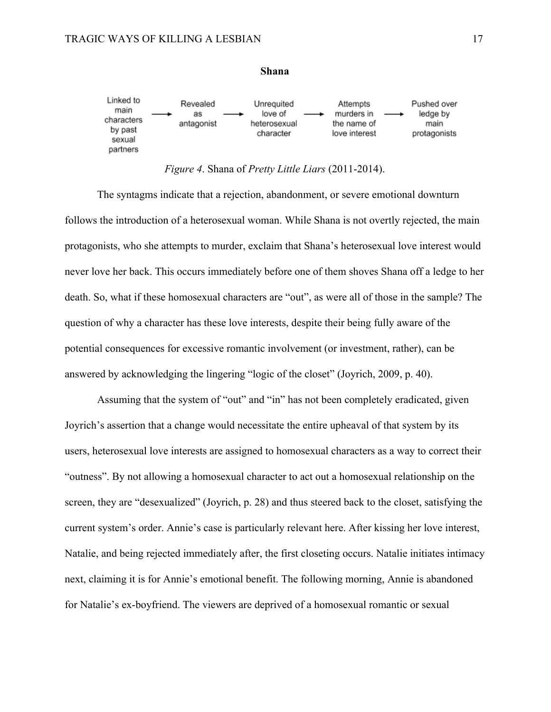

#### **Shana**

*Figure 4*. Shana of *Pretty Little Liars* (2011-2014).

The syntagms indicate that a rejection, abandonment, or severe emotional downturn follows the introduction of a heterosexual woman. While Shana is not overtly rejected, the main protagonists, who she attempts to murder, exclaim that Shana's heterosexual love interest would never love her back. This occurs immediately before one of them shoves Shana off a ledge to her death. So, what if these homosexual characters are "out", as were all of those in the sample? The question of why a character has these love interests, despite their being fully aware of the potential consequences for excessive romantic involvement (or investment, rather), can be answered by acknowledging the lingering "logic of the closet" (Joyrich, 2009, p. 40).

Assuming that the system of "out" and "in" has not been completely eradicated, given Joyrich's assertion that a change would necessitate the entire upheaval of that system by its users, heterosexual love interests are assigned to homosexual characters as a way to correct their "outness". By not allowing a homosexual character to act out a homosexual relationship on the screen, they are "desexualized" (Joyrich, p. 28) and thus steered back to the closet, satisfying the current system's order. Annie's case is particularly relevant here. After kissing her love interest, Natalie, and being rejected immediately after, the first closeting occurs. Natalie initiates intimacy next, claiming it is for Annie's emotional benefit. The following morning, Annie is abandoned for Natalie's ex-boyfriend. The viewers are deprived of a homosexual romantic or sexual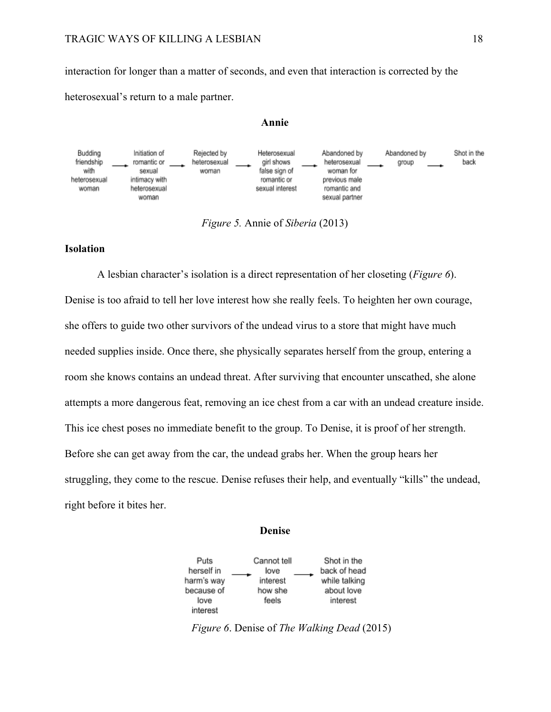#### TRAGIC WAYS OF KILLING A LESBIAN 18

interaction for longer than a matter of seconds, and even that interaction is corrected by the heterosexual's return to a male partner.

#### **Annie**



*Figure 5.* Annie of *Siberia* (2013)

# **Isolation**

A lesbian character's isolation is a direct representation of her closeting (*Figure 6*). Denise is too afraid to tell her love interest how she really feels. To heighten her own courage, she offers to guide two other survivors of the undead virus to a store that might have much needed supplies inside. Once there, she physically separates herself from the group, entering a room she knows contains an undead threat. After surviving that encounter unscathed, she alone attempts a more dangerous feat, removing an ice chest from a car with an undead creature inside. This ice chest poses no immediate benefit to the group. To Denise, it is proof of her strength. Before she can get away from the car, the undead grabs her. When the group hears her struggling, they come to the rescue. Denise refuses their help, and eventually "kills" the undead, right before it bites her.

#### **Denise**



*Figure 6*. Denise of *The Walking Dead* (2015)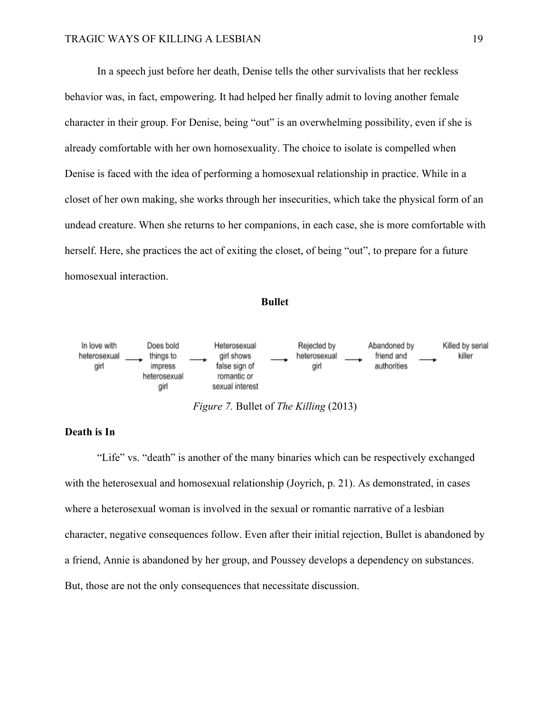In a speech just before her death, Denise tells the other survivalists that her reckless behavior was, in fact, empowering. It had helped her finally admit to loving another female character in their group. For Denise, being "out" is an overwhelming possibility, even if she is already comfortable with her own homosexuality. The choice to isolate is compelled when Denise is faced with the idea of performing a homosexual relationship in practice. While in a closet of her own making, she works through her insecurities, which take the physical form of an undead creature. When she returns to her companions, in each case, she is more comfortable with herself. Here, she practices the act of exiting the closet, of being "out", to prepare for a future homosexual interaction.

## **Bullet**



*Figure 7.* Bullet of *The Killing* (2013)

### **Death is In**

"Life" vs. "death" is another of the many binaries which can be respectively exchanged with the heterosexual and homosexual relationship (Joyrich, p. 21). As demonstrated, in cases where a heterosexual woman is involved in the sexual or romantic narrative of a lesbian character, negative consequences follow. Even after their initial rejection, Bullet is abandoned by a friend, Annie is abandoned by her group, and Poussey develops a dependency on substances. But, those are not the only consequences that necessitate discussion.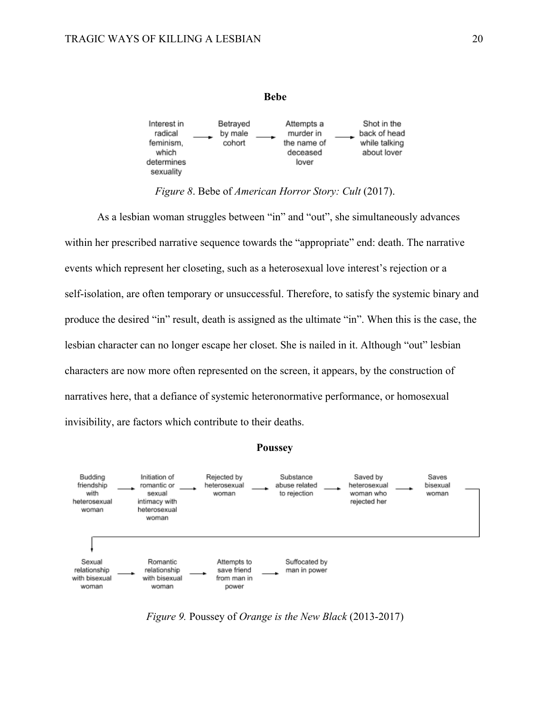

*Figure 8*. Bebe of *American Horror Story: Cult* (2017).

As a lesbian woman struggles between "in" and "out", she simultaneously advances within her prescribed narrative sequence towards the "appropriate" end: death. The narrative events which represent her closeting, such as a heterosexual love interest's rejection or a self-isolation, are often temporary or unsuccessful. Therefore, to satisfy the systemic binary and produce the desired "in" result, death is assigned as the ultimate "in". When this is the case, the lesbian character can no longer escape her closet. She is nailed in it. Although "out" lesbian characters are now more often represented on the screen, it appears, by the construction of narratives here, that a defiance of systemic heteronormative performance, or homosexual invisibility, are factors which contribute to their deaths.

## **Poussey**



*Figure 9.* Poussey of *Orange is the New Black* (2013-2017)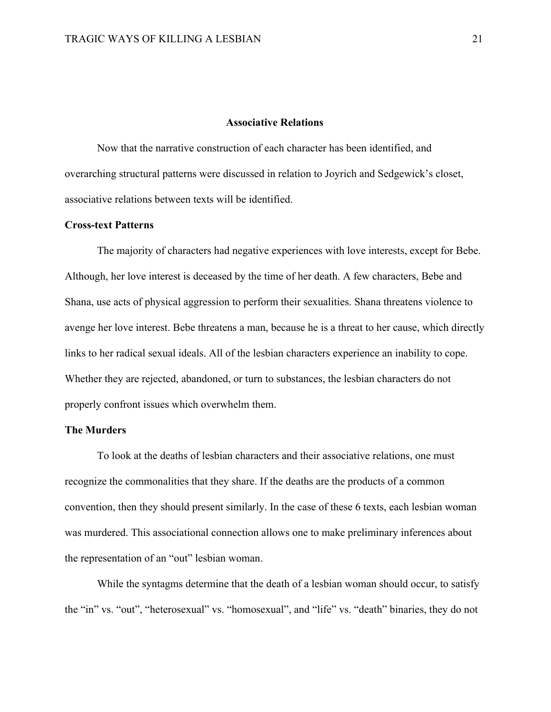## **Associative Relations**

Now that the narrative construction of each character has been identified, and overarching structural patterns were discussed in relation to Joyrich and Sedgewick's closet, associative relations between texts will be identified.

#### **Cross-text Patterns**

The majority of characters had negative experiences with love interests, except for Bebe. Although, her love interest is deceased by the time of her death. A few characters, Bebe and Shana, use acts of physical aggression to perform their sexualities. Shana threatens violence to avenge her love interest. Bebe threatens a man, because he is a threat to her cause, which directly links to her radical sexual ideals. All of the lesbian characters experience an inability to cope. Whether they are rejected, abandoned, or turn to substances, the lesbian characters do not properly confront issues which overwhelm them.

# **The Murders**

To look at the deaths of lesbian characters and their associative relations, one must recognize the commonalities that they share. If the deaths are the products of a common convention, then they should present similarly. In the case of these 6 texts, each lesbian woman was murdered. This associational connection allows one to make preliminary inferences about the representation of an "out" lesbian woman.

While the syntagms determine that the death of a lesbian woman should occur, to satisfy the "in" vs. "out", "heterosexual" vs. "homosexual", and "life" vs. "death" binaries, they do not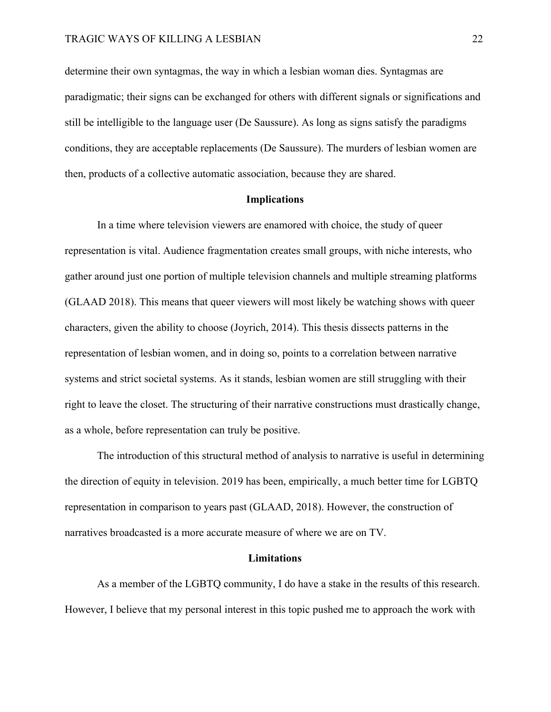determine their own syntagmas, the way in which a lesbian woman dies. Syntagmas are paradigmatic; their signs can be exchanged for others with different signals or significations and still be intelligible to the language user (De Saussure). As long as signs satisfy the paradigms conditions, they are acceptable replacements (De Saussure). The murders of lesbian women are then, products of a collective automatic association, because they are shared.

#### **Implications**

In a time where television viewers are enamored with choice, the study of queer representation is vital. Audience fragmentation creates small groups, with niche interests, who gather around just one portion of multiple television channels and multiple streaming platforms (GLAAD 2018). This means that queer viewers will most likely be watching shows with queer characters, given the ability to choose (Joyrich, 2014). This thesis dissects patterns in the representation of lesbian women, and in doing so, points to a correlation between narrative systems and strict societal systems. As it stands, lesbian women are still struggling with their right to leave the closet. The structuring of their narrative constructions must drastically change, as a whole, before representation can truly be positive.

The introduction of this structural method of analysis to narrative is useful in determining the direction of equity in television. 2019 has been, empirically, a much better time for LGBTQ representation in comparison to years past (GLAAD, 2018). However, the construction of narratives broadcasted is a more accurate measure of where we are on TV.

#### **Limitations**

As a member of the LGBTQ community, I do have a stake in the results of this research. However, I believe that my personal interest in this topic pushed me to approach the work with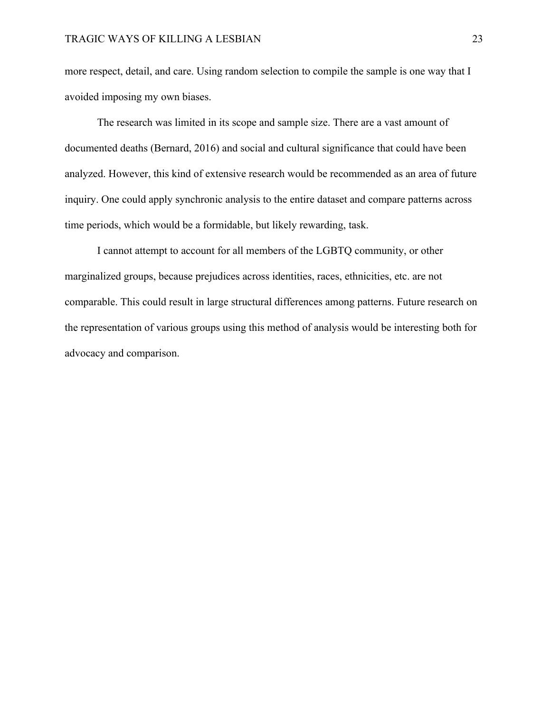more respect, detail, and care. Using random selection to compile the sample is one way that I avoided imposing my own biases.

The research was limited in its scope and sample size. There are a vast amount of documented deaths (Bernard, 2016) and social and cultural significance that could have been analyzed. However, this kind of extensive research would be recommended as an area of future inquiry. One could apply synchronic analysis to the entire dataset and compare patterns across time periods, which would be a formidable, but likely rewarding, task.

I cannot attempt to account for all members of the LGBTQ community, or other marginalized groups, because prejudices across identities, races, ethnicities, etc. are not comparable. This could result in large structural differences among patterns. Future research on the representation of various groups using this method of analysis would be interesting both for advocacy and comparison.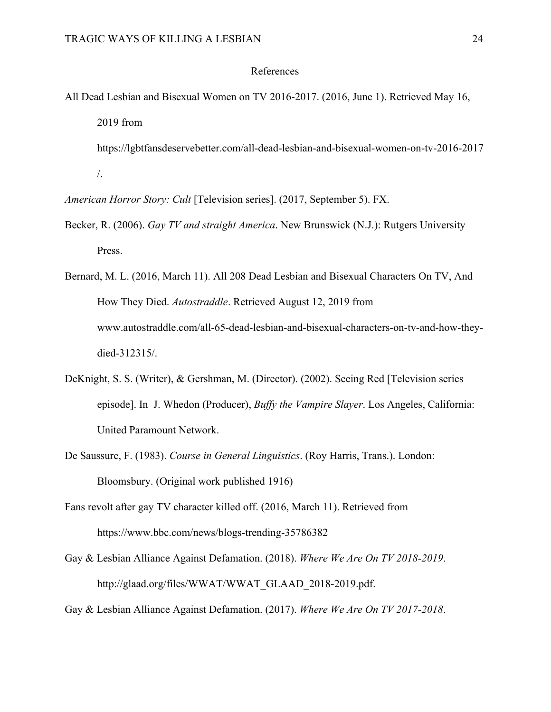#### References

- All Dead Lesbian and Bisexual Women on TV 2016-2017. (2016, June 1). Retrieved May 16, 2019 from
	- https://lgbtfansdeservebetter.com/all-dead-lesbian-and-bisexual-women-on-tv-2016-2017 /.
- *American Horror Story: Cult* [Television series]. (2017, September 5). FX.
- Becker, R. (2006). *Gay TV and straight America*. New Brunswick (N.J.): Rutgers University Press.
- Bernard, M. L. (2016, March 11). All 208 Dead Lesbian and Bisexual Characters On TV, And How They Died. *Autostraddle*. Retrieved August 12, 2019 from www.autostraddle.com/all-65-dead-lesbian-and-bisexual-characters-on-tv-and-how-theydied-312315/.
- DeKnight, S. S. (Writer), & Gershman, M. (Director). (2002). Seeing Red [Television series episode]. In J. Whedon (Producer), *Buffy the Vampire Slayer*. Los Angeles, California: United Paramount Network.
- De Saussure, F. (1983). *Course in General Linguistics*. (Roy Harris, Trans.). London: Bloomsbury. (Original work published 1916)
- Fans revolt after gay TV character killed off. (2016, March 11). Retrieved from https://www.bbc.com/news/blogs-trending-35786382
- Gay & Lesbian Alliance Against Defamation. (2018). *Where We Are On TV 2018-2019*. http://glaad.org/files/WWAT/WWAT\_GLAAD\_2018-2019.pdf.
- Gay & Lesbian Alliance Against Defamation. (2017). *Where We Are On TV 2017-2018*.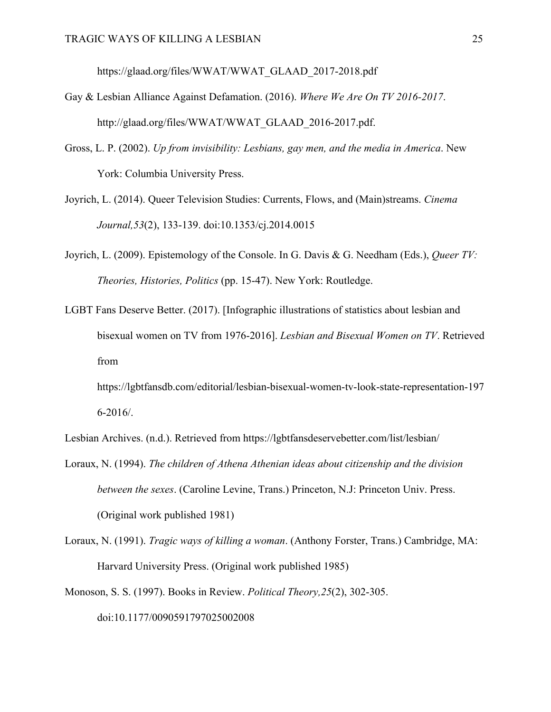https://glaad.org/files/WWAT/WWAT\_GLAAD\_2017-2018.pdf

- Gay & Lesbian Alliance Against Defamation. (2016). *Where We Are On TV 2016-2017*. http://glaad.org/files/WWAT/WWAT\_GLAAD\_2016-2017.pdf.
- Gross, L. P. (2002). *Up from invisibility: Lesbians, gay men, and the media in America*. New York: Columbia University Press.
- Joyrich, L. (2014). Queer Television Studies: Currents, Flows, and (Main)streams. *Cinema Journal,53*(2), 133-139. doi:10.1353/cj.2014.0015
- Joyrich, L. (2009). Epistemology of the Console. In G. Davis & G. Needham (Eds.), *Queer TV: Theories, Histories, Politics* (pp. 15-47). New York: Routledge.
- LGBT Fans Deserve Better. (2017). [Infographic illustrations of statistics about lesbian and bisexual women on TV from 1976-2016]. *Lesbian and Bisexual Women on TV*. Retrieved from
	- https://lgbtfansdb.com/editorial/lesbian-bisexual-women-tv-look-state-representation-197 6-2016/.
- Lesbian Archives. (n.d.). Retrieved from https://lgbtfansdeservebetter.com/list/lesbian/
- Loraux, N. (1994). *The children of Athena Athenian ideas about citizenship and the division between the sexes*. (Caroline Levine, Trans.) Princeton, N.J: Princeton Univ. Press. (Original work published 1981)
- Loraux, N. (1991). *Tragic ways of killing a woman*. (Anthony Forster, Trans.) Cambridge, MA: Harvard University Press. (Original work published 1985)
- Monoson, S. S. (1997). Books in Review. *Political Theory,25*(2), 302-305.

doi:10.1177/0090591797025002008